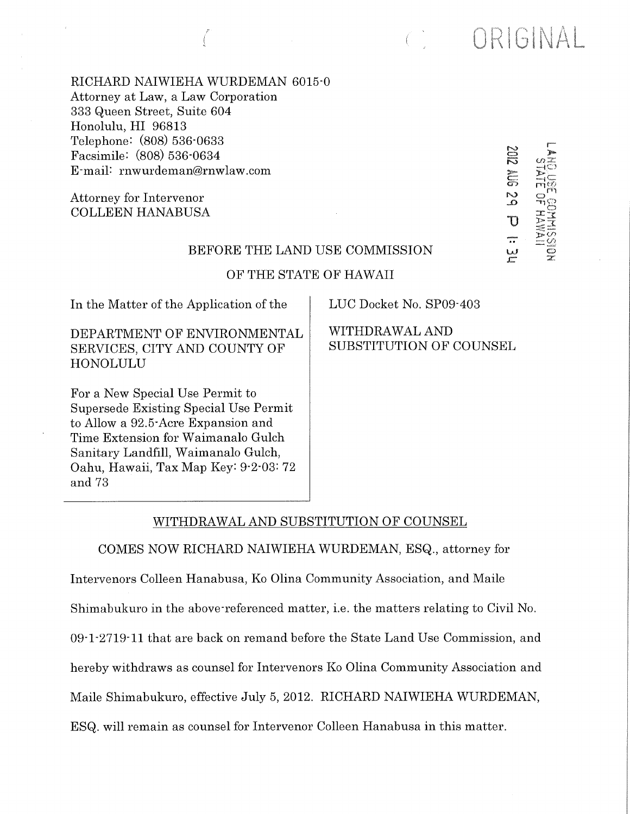| RICHARD NAIWIEHA WURDEMAN 6015-0<br>Attorney at Law, a Law Corporation<br>333 Queen Street, Suite 604<br>Honolulu, HI 96813<br>Telephone: (808) 536-0633<br>Facsimile: (808) 536-0634<br>E-mail: rnwurdeman@rnwlaw.com<br>Attorney for Intervenor<br><b>COLLEEN HANABUSA</b><br>BEFORE THE LAND USE COMMISSION<br>OF THE STATE OF HAWAII |                                           | <b>ZIDZ</b><br>ta<br>51<br>$\frac{1}{\alpha}$<br>$\mathbb {U}$<br>aastaa<br>A<br>یں<br>ح | $\bar{z}$ |
|------------------------------------------------------------------------------------------------------------------------------------------------------------------------------------------------------------------------------------------------------------------------------------------------------------------------------------------|-------------------------------------------|------------------------------------------------------------------------------------------|-----------|
|                                                                                                                                                                                                                                                                                                                                          |                                           |                                                                                          |           |
| In the Matter of the Application of the                                                                                                                                                                                                                                                                                                  | LUC Docket No. SP09-403                   |                                                                                          |           |
| DEPARTMENT OF ENVIRONMENTAL<br>SERVICES, CITY AND COUNTY OF<br><b>HONOLULU</b>                                                                                                                                                                                                                                                           | WITHDRAWAL AND<br>SUBSTITUTION OF COUNSEL |                                                                                          |           |
| For a New Special Use Permit to<br>Supersede Existing Special Use Permit<br>to Allow a 92.5 Acre Expansion and<br>Time Extension for Waimanalo Gulch<br>Sanitary Landfill, Waimanalo Gulch,<br>Oahu, Hawaii, Tax Map Key: 9-2-03: 72<br>and 73                                                                                           |                                           |                                                                                          |           |

ORIGINAL

 $\begin{pmatrix} 1 & 1 \\ 1 & 1 \end{pmatrix}$ 

# WITHDRAWAL AND SUBSTITUTION OF COUNSEL

COMES NOW RICHARD NAIWIEHA WURDEMAN, ESQ., attorney for

Intervenors Colleen Hanabusa, Ko Olina Community Association, and Maile Shimabukuro in the above-referenced matter, i.e. the matters relating to Civil No. 09.1.2719.11 that are back on remand before the State Land Use Commission, and hereby withdraws as counsel for Intervenors Ko Olina Community Association and Maile Shimabukuro, effective July 5, 2012. RICHARD NAIWIEHA WURDEMAN, ESQ. will remain as counsel for Intervenor Colleen Hanabusa in this matter.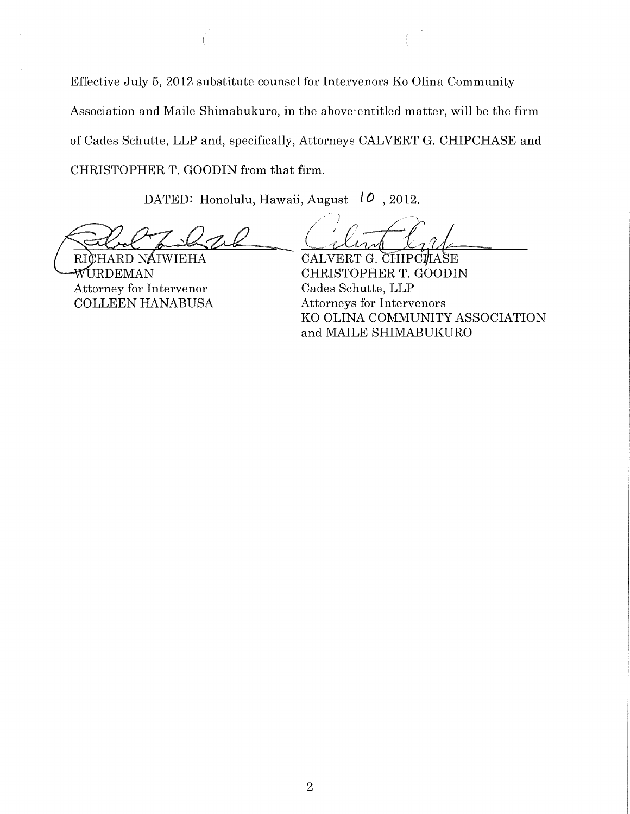Effective July 5, 2012 substitute counsel for Intervenors Ko Olina Community Association and Maile Shimabukuro, in the above'entitled matter, will be the firm of Cades Schutte, LLP and, specifically, Attorneys CALVERT G. CHIPCHASE and CHRISTOPHER T. GOODIN from that firm.

DATED: Honolulu, Hawaii, August 10, 2012.

RICHARD NAIWIEHA WURDEMAN Attorney for Intervenor COLLEEN HANABUSA

CALVERT G. CHIPCHASE CHRISTOPHER T. GOODIN Cades Schutte, LLP Attorneys for Intervenors KO OLINA COMMUNITY ASSOCIATION and MAILE SHIMABUKURO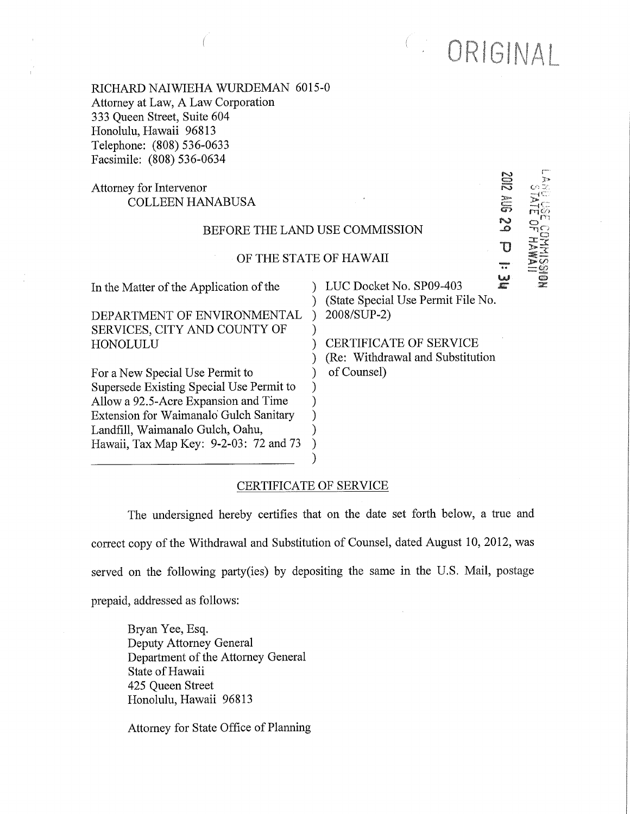C: ORIGINAL

f,o

 $-4C$  $=$ 

z

 $\overline{0}$ 

RICHARD NAIWIEHA WURDEMAN 6015-0 Attorney at Law, A Law Corporation 333 Queen Street, Suite 604 Honolulu, Hawaii 96813 Telephone: (808) 536-0633 Facsimile: (808) 536-0634

# Attorney for Intervenor COLLEEN HANABUSA

### BEFORE THE LAND USE COMMISSION

#### OF THE STATE OF HAWAII

) ) ) ) ) ) ) ) ) )

In the Matter of the Application of the

DEPARTMENT OF ENVIRONMENTAL SERVICES, CITY AND COUNTY OF HONOLULU

For a New Special Use Permit to Supersede Existing Special Use Permit to Allow a 92.5-Acre Expansion and Time Extension for Waimanalo Gulch Sanitary Landfill, Waimanalo Gulch, Oahu, Hawaii, Tax Map Key: 9-2-03: 72 and 73

) LUC Docket No.  $SP09-403$  $\lambda$  $\lambda$ سا<br>ھ (State Special Use Permit File No. 2008/SUP-2)

CERTIFICATE OF SERVICE (Re: Withdrawal and Substitution of Counsel)

### CERTIFICATE OF SERVICE

The undersigned hereby certifies that on the date set forth below, a true and correct copy of the Withdrawal and Substitution of Counsel, dated August 10, 2012, was served on the following party(ies) by depositing the same in the U.S. Mail, postage prepaid, addressed as follows:

Bryan Yee, Esq. Deputy Attorney General Department of the Attorney General State of Hawaii 425 Queen Street Honolulu, Hawaii 96813

Attorney for State Office of Planning